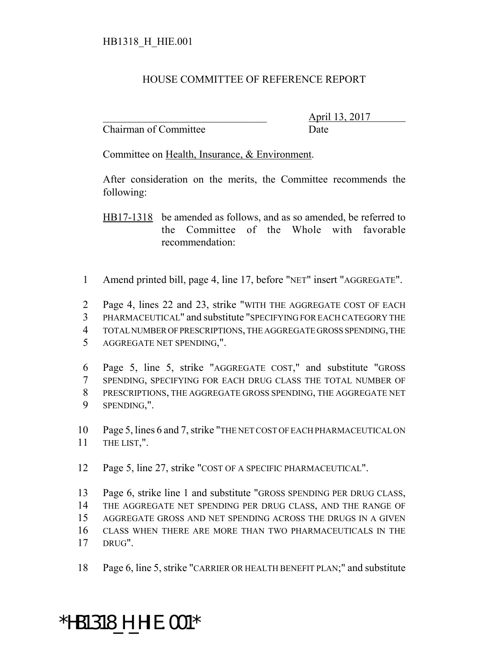## HOUSE COMMITTEE OF REFERENCE REPORT

Chairman of Committee Date

\_\_\_\_\_\_\_\_\_\_\_\_\_\_\_\_\_\_\_\_\_\_\_\_\_\_\_\_\_\_\_ April 13, 2017

Committee on Health, Insurance, & Environment.

After consideration on the merits, the Committee recommends the following:

HB17-1318 be amended as follows, and as so amended, be referred to the Committee of the Whole with favorable recommendation:

1 Amend printed bill, page 4, line 17, before "NET" insert "AGGREGATE".

 Page 4, lines 22 and 23, strike "WITH THE AGGREGATE COST OF EACH PHARMACEUTICAL" and substitute "SPECIFYING FOR EACH CATEGORY THE TOTAL NUMBER OF PRESCRIPTIONS, THE AGGREGATE GROSS SPENDING, THE AGGREGATE NET SPENDING,".

 Page 5, line 5, strike "AGGREGATE COST," and substitute "GROSS SPENDING, SPECIFYING FOR EACH DRUG CLASS THE TOTAL NUMBER OF PRESCRIPTIONS, THE AGGREGATE GROSS SPENDING, THE AGGREGATE NET SPENDING,".

10 Page 5, lines 6 and 7, strike "THE NET COST OF EACH PHARMACEUTICAL ON 11 THE LIST,".

12 Page 5, line 27, strike "COST OF A SPECIFIC PHARMACEUTICAL".

13 Page 6, strike line 1 and substitute "GROSS SPENDING PER DRUG CLASS,

14 THE AGGREGATE NET SPENDING PER DRUG CLASS, AND THE RANGE OF

15 AGGREGATE GROSS AND NET SPENDING ACROSS THE DRUGS IN A GIVEN

16 CLASS WHEN THERE ARE MORE THAN TWO PHARMACEUTICALS IN THE

17 DRUG".

18 Page 6, line 5, strike "CARRIER OR HEALTH BENEFIT PLAN;" and substitute

## \*HB1318\_H\_HIE.001\*